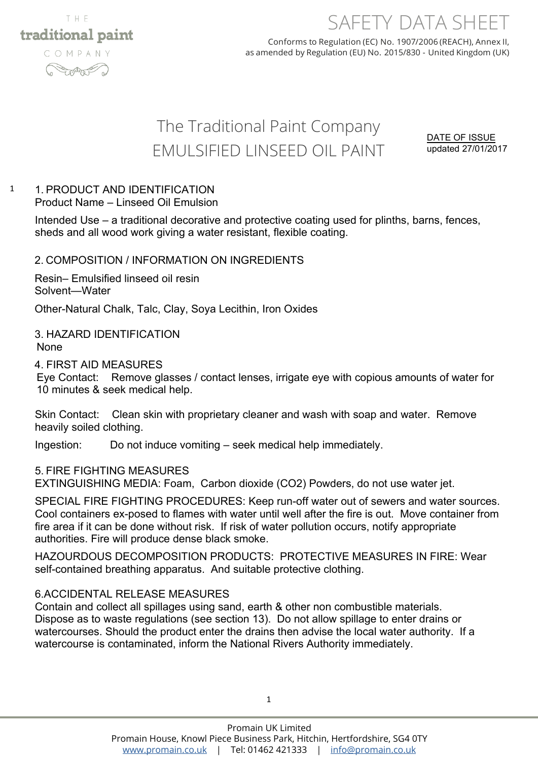

# SAFETY DATA SHEET

Conforms to Regulation (EC) No. 1907/2006 (REACH), Annex II, as amended by Regulation (EU) No. 2015/830 - United Kingdom (UK)

# The Traditional Paint Company EMULSIFIED LINSEED OIL PAINT

DATE OF ISSUE updated 27/01/2017

#### 1. PRODUCT AND IDENTIFICATION Product Name – Linseed Oil Emulsion 1

Intended Use – a traditional decorative and protective coating used for plinths, barns, fences, sheds and all wood work giving a water resistant, flexible coating.

### 2. COMPOSITION / INFORMATION ON INGREDIENTS

Resin– Emulsified linseed oil resin Solvent—Water

Other-Natural Chalk, Talc, Clay, Soya Lecithin, Iron Oxides

### 3. HAZARD IDENTIFICATION None

4. FIRST AID MEASURES

Eye Contact: Remove glasses / contact lenses, irrigate eye with copious amounts of water for 10 minutes & seek medical help.

Skin Contact: Clean skin with proprietary cleaner and wash with soap and water. Remove heavily soiled clothing.

Ingestion: Do not induce vomiting – seek medical help immediately.

### 5. FIRE FIGHTING MEASURES

EXTINGUISHING MEDIA: Foam, Carbon dioxide (CO2) Powders, do not use water jet.

SPECIAL FIRE FIGHTING PROCEDURES: Keep run-off water out of sewers and water sources. Cool containers ex-posed to flames with water until well after the fire is out. Move container from fire area if it can be done without risk. If risk of water pollution occurs, notify appropriate authorities. Fire will produce dense black smoke.

HAZOURDOUS DECOMPOSITION PRODUCTS: PROTECTIVE MEASURES IN FIRE: Wear self-contained breathing apparatus. And suitable protective clothing.

## 6.ACCIDENTAL RELEASE MEASURES

Contain and collect all spillages using sand, earth & other non combustible materials. Dispose as to waste regulations (see section 13). Do not allow spillage to enter drains or watercourses. Should the product enter the drains then advise the local water authority. If a watercourse is contaminated, inform the National Rivers Authority immediately.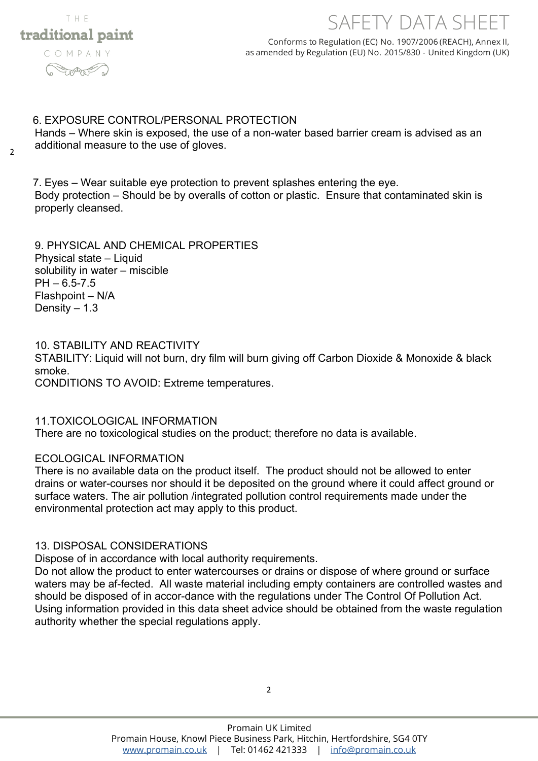

# SAFETY DATA SHEET

Conforms to Regulation (EC) No. 1907/2006 (REACH), Annex II, as amended by Regulation (EU) No. 2015/830 - United Kingdom (UK)

#### 6. EXPOSURE CONTROL/PERSONAL PROTECTION

Hands – Where skin is exposed, the use of a non-water based barrier cream is advised as an additional measure to the use of gloves.

2

7. Eyes – Wear suitable eye protection to prevent splashes entering the eye. Body protection – Should be by overalls of cotton or plastic. Ensure that contaminated skin is properly cleansed.

9. PHYSICAL AND CHEMICAL PROPERTIES Physical state – Liquid solubility in water – miscible  $PH - 6.5 - 7.5$ Flashpoint – N/A Density  $-1.3$ 

### 10. STABILITY AND REACTIVITY

STABILITY: Liquid will not burn, dry film will burn giving off Carbon Dioxide & Monoxide & black smoke.

CONDITIONS TO AVOID: Extreme temperatures.

### 11.TOXICOLOGICAL INFORMATION

There are no toxicological studies on the product; therefore no data is available.

### ECOLOGICAL INFORMATION

There is no available data on the product itself. The product should not be allowed to enter drains or water-courses nor should it be deposited on the ground where it could affect ground or surface waters. The air pollution /integrated pollution control requirements made under the environmental protection act may apply to this product.

### 13. DISPOSAL CONSIDERATIONS

Dispose of in accordance with local authority requirements.

Do not allow the product to enter watercourses or drains or dispose of where ground or surface waters may be af-fected. All waste material including empty containers are controlled wastes and should be disposed of in accor-dance with the regulations under The Control Of Pollution Act. Using information provided in this data sheet advice should be obtained from the waste regulation authority whether the special regulations apply.